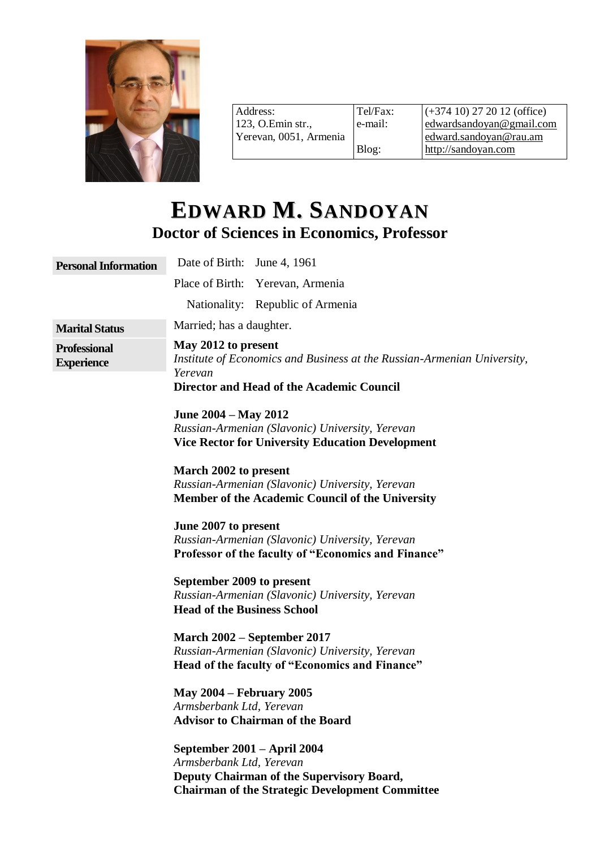

Address: 123, O.Emin str., Yerevan, 0051, Armenia Tel/Fax: e-mail: Blog: (+374 10) 27 20 12 (office) [edwardsandoyan@gmail.com](mailto:edwardsandoyan@gmail.com) [edward.sandoyan@rau.am](mailto:edward.sandoyan@rau.am) [http://sandoyan.com](http://sandoyan.com/)

# **EDWARD M. SANDOYAN Doctor of Sciences in Economics, Professor**

| <b>Personal Information</b>              | Date of Birth: June 4, 1961                                                                                                                                    |
|------------------------------------------|----------------------------------------------------------------------------------------------------------------------------------------------------------------|
|                                          | Place of Birth: Yerevan, Armenia                                                                                                                               |
|                                          | Nationality: Republic of Armenia                                                                                                                               |
| <b>Marital Status</b>                    | Married; has a daughter.                                                                                                                                       |
| <b>Professional</b><br><b>Experience</b> | May 2012 to present<br>Institute of Economics and Business at the Russian-Armenian University,<br>Yerevan<br>Director and Head of the Academic Council         |
|                                          | June 2004 – May 2012<br>Russian-Armenian (Slavonic) University, Yerevan<br><b>Vice Rector for University Education Development</b>                             |
|                                          | March 2002 to present<br>Russian-Armenian (Slavonic) University, Yerevan<br>Member of the Academic Council of the University                                   |
|                                          | June 2007 to present<br>Russian-Armenian (Slavonic) University, Yerevan<br><b>Professor of the faculty of "Economics and Finance"</b>                          |
|                                          | September 2009 to present<br>Russian-Armenian (Slavonic) University, Yerevan<br><b>Head of the Business School</b>                                             |
|                                          | March 2002 - September 2017<br>Russian-Armenian (Slavonic) University, Yerevan<br>Head of the faculty of "Economics and Finance"                               |
|                                          | <b>May 2004 – February 2005</b><br>Armsberbank Ltd, Yerevan<br><b>Advisor to Chairman of the Board</b>                                                         |
|                                          | September 2001 – April 2004<br>Armsberbank Ltd, Yerevan<br>Deputy Chairman of the Supervisory Board,<br><b>Chairman of the Strategic Development Committee</b> |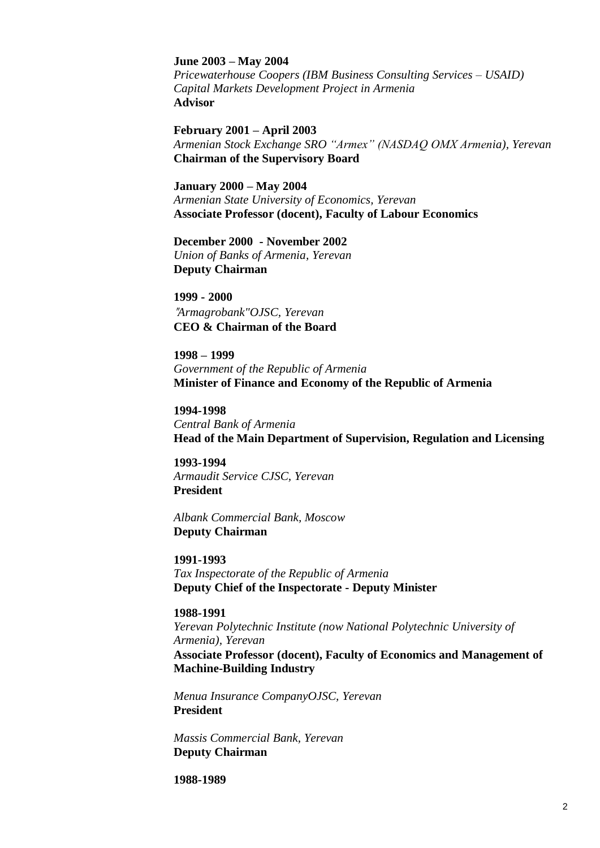#### **June 2003 – May 2004**

*Pricewaterhouse Coopers (IBM Business Consulting Services – USAID) Capital Markets Development Project in Armenia* **Advisor**

### **February 2001 – April 2003**

*Armenian Stock Exchange SRO "Armex" (NASDAQ OMX Armenia), Yerevan* **Chairman of the Supervisory Board**

#### **January 2000 – May 2004**

*Armenian State University of Economics, Yerevan*  **Associate Professor (docent), Faculty of Labour Economics** 

**December 2000 - November 2002** *Union of Banks of Armenia, Yerevan* **Deputy Chairman** 

**1999 - 2000** "*Armagrobank"OJSC, Yerevan* **CEO & Chairman of the Board**

**1998 – 1999**  *Government of the Republic of Armenia* **Minister of Finance and Economy of the Republic of Armenia**

**1994-1998**  *Central Bank of Armenia* **Head of the Main Department of Supervision, Regulation and Licensing**

**1993-1994**  *Armaudit Service CJSC, Yerevan* **President** 

*Albank Commercial Bank, Moscow* **Deputy Chairman**

**1991-1993**  *Tax Inspectorate of the Republic of Armenia* **Deputy Chief of the Inspectorate - Deputy Minister** 

#### **1988-1991**

*Yerevan Polytechnic Institute (now National Polytechnic University of Armenia), Yerevan* **Associate Professor (docent), Faculty of Economics and Management of Machine-Building Industry**

*Menua Insurance CompanyOJSC, Yerevan*  **President**

*Massis Commercial Bank, Yerevan* **Deputy Chairman**

**1988-1989**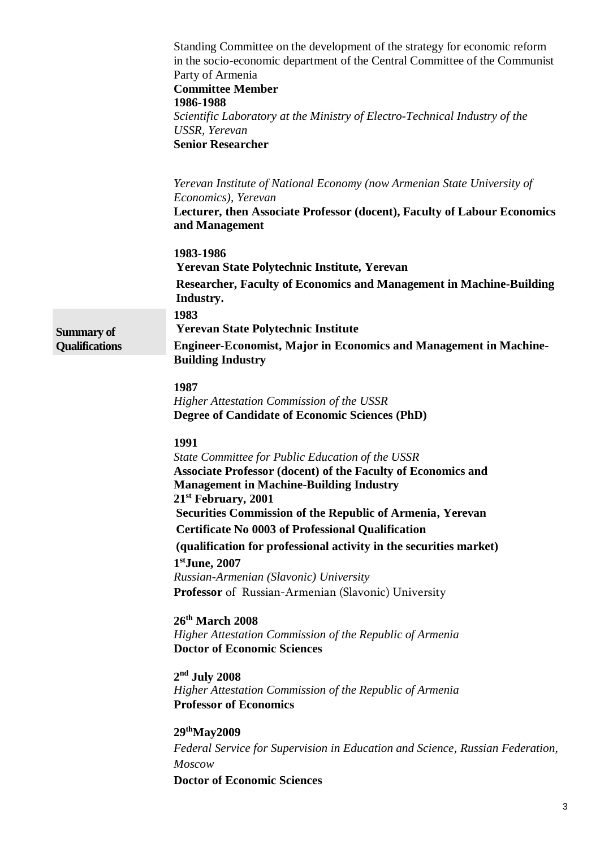|                                            | Standing Committee on the development of the strategy for economic reform<br>in the socio-economic department of the Central Committee of the Communist<br>Party of Armenia<br><b>Committee Member</b><br>1986-1988<br>Scientific Laboratory at the Ministry of Electro-Technical Industry of the<br>USSR, Yerevan<br><b>Senior Researcher</b> |
|--------------------------------------------|------------------------------------------------------------------------------------------------------------------------------------------------------------------------------------------------------------------------------------------------------------------------------------------------------------------------------------------------|
|                                            | Yerevan Institute of National Economy (now Armenian State University of<br>Economics), Yerevan<br>Lecturer, then Associate Professor (docent), Faculty of Labour Economics<br>and Management                                                                                                                                                   |
|                                            | 1983-1986<br>Yerevan State Polytechnic Institute, Yerevan<br><b>Researcher, Faculty of Economics and Management in Machine-Building</b><br>Industry.                                                                                                                                                                                           |
| <b>Summary of</b><br><b>Qualifications</b> | 1983<br><b>Yerevan State Polytechnic Institute</b><br><b>Engineer-Economist, Major in Economics and Management in Machine-</b><br><b>Building Industry</b>                                                                                                                                                                                     |
|                                            | 1987<br><b>Higher Attestation Commission of the USSR</b><br><b>Degree of Candidate of Economic Sciences (PhD)</b>                                                                                                                                                                                                                              |
|                                            | 1991<br>State Committee for Public Education of the USSR<br><b>Associate Professor (docent) of the Faculty of Economics and</b><br><b>Management in Machine-Building Industry</b><br>21 <sup>st</sup> February, 2001                                                                                                                           |
|                                            | Securities Commission of the Republic of Armenia, Yerevan                                                                                                                                                                                                                                                                                      |
|                                            | <b>Certificate No 0003 of Professional Qualification</b>                                                                                                                                                                                                                                                                                       |
|                                            | (qualification for professional activity in the securities market)<br>$1st$ June, 2007                                                                                                                                                                                                                                                         |
|                                            | Russian-Armenian (Slavonic) University<br>Professor of Russian-Armenian (Slavonic) University                                                                                                                                                                                                                                                  |
|                                            |                                                                                                                                                                                                                                                                                                                                                |
|                                            | $26th$ March 2008<br>Higher Attestation Commission of the Republic of Armenia<br><b>Doctor of Economic Sciences</b>                                                                                                                                                                                                                            |
|                                            | $2nd$ July 2008<br>Higher Attestation Commission of the Republic of Armenia<br><b>Professor of Economics</b>                                                                                                                                                                                                                                   |
|                                            | 29 <sup>th</sup> May2009                                                                                                                                                                                                                                                                                                                       |
|                                            | Federal Service for Supervision in Education and Science, Russian Federation,<br><b>Moscow</b>                                                                                                                                                                                                                                                 |
|                                            | <b>Doctor of Economic Sciences</b>                                                                                                                                                                                                                                                                                                             |
|                                            |                                                                                                                                                                                                                                                                                                                                                |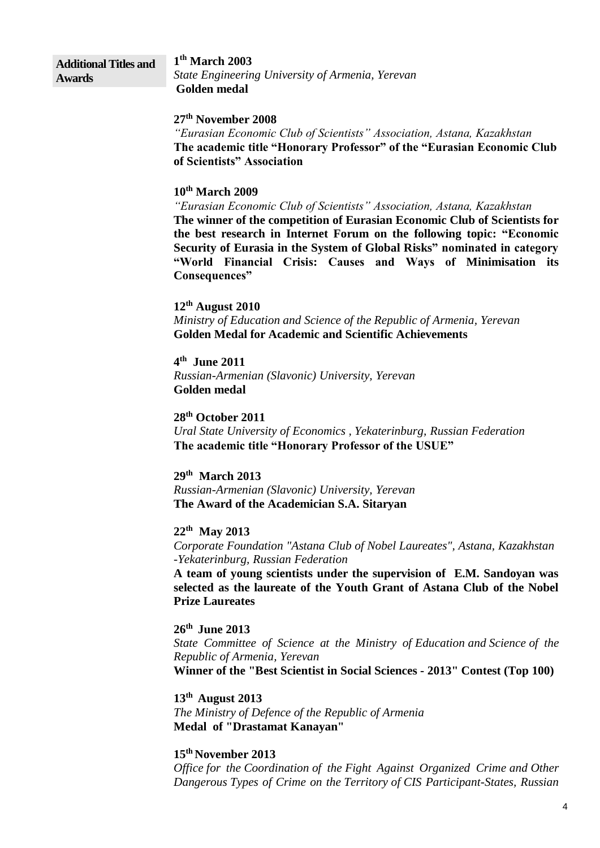#### **Additional Titles and Awards**

**1 th March 2003** *State Engineering University of Armenia, Yerevan* **Golden medal**

#### **27th November 2008**

*"Eurasian Economic Club of Scientists" Association, Astana, Kazakhstan* **The academic title "Honorary Professor" of the "Eurasian Economic Club of Scientists" Association**

#### **10th March 2009**

*"Eurasian Economic Club of Scientists" Association, Astana, Kazakhstan* **The winner of the competition of Eurasian Economic Club of Scientists for the best research in Internet Forum on the following topic: "Economic Security of Eurasia in the System of Global Risks" nominated in category "World Financial Crisis: Causes and Ways of Minimisation its Consequences"**

### **12th August 2010**

*Ministry of Education and Science of the Republic of Armenia, Yerevan* **Golden Medal for Academic and Scientific Achievements**

**4 th June 2011** *Russian-Armenian (Slavonic) University, Yerevan* **Golden medal**

**28th October 2011** *Ural State University of Economics , Yekaterinburg, Russian Federation* **The academic title "Honorary Professor of the USUE"**

#### **29th March 2013**

*Russian-Armenian (Slavonic) University, Yerevan* **The Award of the Academician S.A. Sitaryan** 

#### **22th May 2013**

*Corporate Foundation "Astana Club of Nobel Laureates", Astana, Kazakhstan -Yekaterinburg, Russian Federation* 

**A team of young scientists under the supervision of E.M. Sandoyan was selected as the laureate of the Youth Grant of Astana Club of the Nobel Prize Laureates** 

#### **26th June 2013**

*State Committee of Science at the Ministry of Education and Science of the Republic of Armenia, Yerevan*

**Winner of the "Best Scientist in Social Sciences - 2013" Contest (Top 100)**

#### **13th August 2013**

*The Ministry of Defence of the Republic of Armenia* **Medal of "Drastamat Kanayan"**

#### **15 th November 2013**

*Office for the Coordination of the Fight Against Organized Crime and Other Dangerous Types of Crime on the Territory of CIS Participant-States, Russian*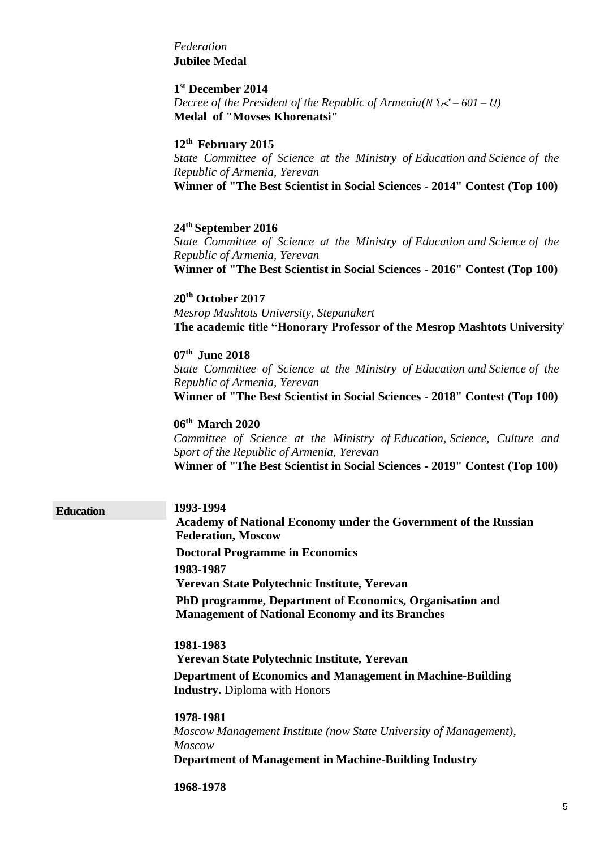#### *Federation* **Jubilee Medal**

#### **1 st December 2014**

*Decree of the President of the Republic of Armenia(N ՆՀ – 601 – Ա)* **Medal of "Movses Khorenatsi"**

#### **12th February 2015**

*State Committee of Science at the Ministry of Education and Science of the Republic of Armenia, Yerevan* **Winner of "The Best Scientist in Social Sciences - 2014" Contest (Top 100)**

#### **24th September 2016**

*State Committee of Science at the Ministry of Education and Science of the Republic of Armenia, Yerevan* **Winner of "The Best Scientist in Social Sciences - 2016" Contest (Top 100)**

**2**0 **th October 2017** *Mesrop Mashtots University, Stepanakert*  **The academic title "Honorary Professor of the Mesrop Mashtots University"**

**07th June 2018** *State Committee of Science at the Ministry of Education and Science of the Republic of Armenia, Yerevan*

**Winner of "The Best Scientist in Social Sciences - 2018" Contest (Top 100)**

**06th March 2020**

*Committee of Science at the Ministry of Education, Science, Culture and Sport of the Republic of Armenia, Yerevan* **Winner of "The Best Scientist in Social Sciences - 2019" Contest (Top 100)**

**Education 1993-1994**

**Academy of National Economy under the Government of the Russian Federation, Moscow Doctoral Programme in Economics 1983-1987 Yerevan State Polytechnic Institute, Yerevan PhD programme, Department of Economics, Organisation and Management of National Economy and its Branches 1981-1983**

**Yerevan State Polytechnic Institute, Yerevan Department of Economics and Management in Machine-Building Industry.** Diploma with Honors

**1978-1981** *Moscow Management Institute (now State University of Management), Moscow*  **Department of Management in Machine-Building Industry**

**1968-1978**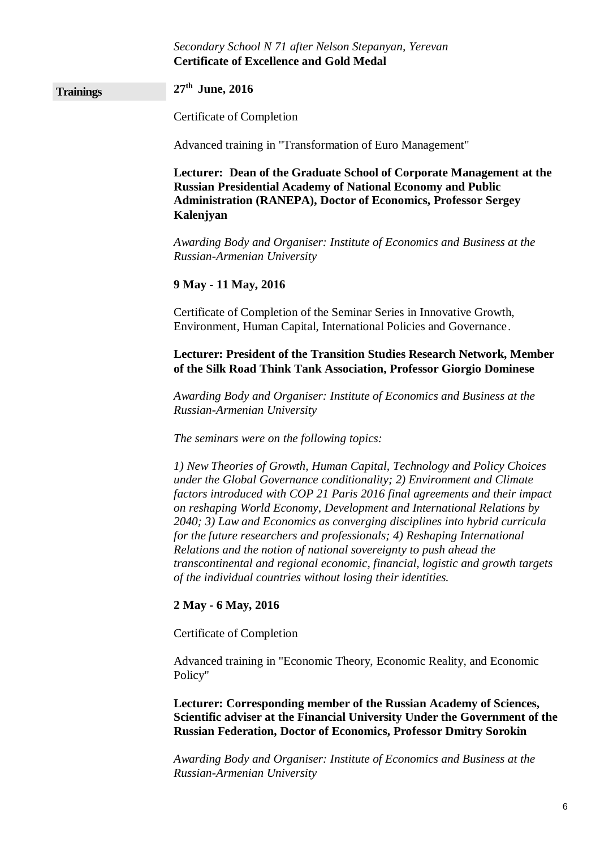#### *Secondary School N 71 after Nelson Stepanyan, Yerevan* **Certificate of Excellence and Gold Medal**

## **Trainings 27th June, 2016** Certificate of Completion Advanced training in "Transformation of Euro Management" **Lecturer: Dean of the Graduate School of Corporate Management at the Russian Presidential Academy of National Economy and Public Administration (RANEPA), Doctor of Economics, Professor Sergey Kalenjyan** *Awarding Body and Organiser: Institute of Economics and Business at the Russian-Armenian University* **9 May - 11 May, 2016** Certificate of Completion of the Seminar Series in Innovative Growth, Environment, Human Capital, International Policies and Governance․ **Lecturer: President of the Transition Studies Research Network, Member of the Silk Road Think Tank Association, Professor Giorgio Dominese** *Awarding Body and Organiser: Institute of Economics and Business at the Russian-Armenian University The seminars were on the following topics: 1) New Theories of Growth, Human Capital, Technology and Policy Choices under the Global Governance conditionality; 2) Environment and Climate factors introduced with COP 21 Paris 2016 final agreements and their impact on reshaping World Economy, Development and International Relations by 2040; 3) Law and Economics as converging disciplines into hybrid curricula for the future researchers and professionals; 4) Reshaping International Relations and the notion of national sovereignty to push ahead the transcontinental and regional economic, financial, logistic and growth targets*

#### **2 May - 6 May, 2016**

Certificate of Completion

Advanced training in "Economic Theory, Economic Reality, and Economic Policy"

*of the individual countries without losing their identities.*

**Lecturer: Corresponding member of the Russian Academy of Sciences, Scientific adviser at the Financial University Under the Government of the Russian Federation, Doctor of Economics, Professor Dmitry Sorokin**

*Awarding Body and Organiser: Institute of Economics and Business at the Russian-Armenian University*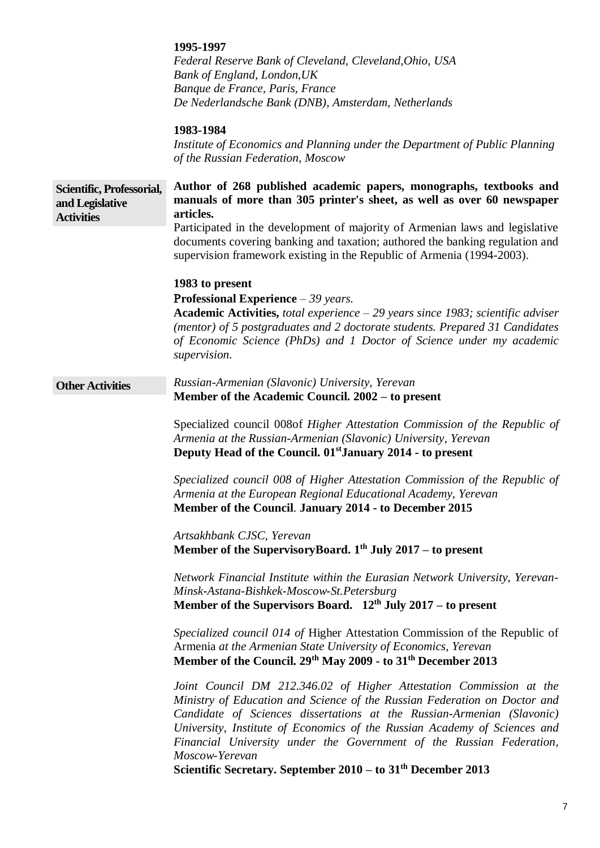|                                                                   | 1995-1997<br>Federal Reserve Bank of Cleveland, Cleveland, Ohio, USA<br>Bank of England, London, UK<br>Banque de France, Paris, France<br>De Nederlandsche Bank (DNB), Amsterdam, Netherlands<br>1983-1984<br>Institute of Economics and Planning under the Department of Public Planning<br>of the Russian Federation, Moscow                                                                                                                                        |
|-------------------------------------------------------------------|-----------------------------------------------------------------------------------------------------------------------------------------------------------------------------------------------------------------------------------------------------------------------------------------------------------------------------------------------------------------------------------------------------------------------------------------------------------------------|
| Scientific, Professorial,<br>and Legislative<br><b>Activities</b> | Author of 268 published academic papers, monographs, textbooks and<br>manuals of more than 305 printer's sheet, as well as over 60 newspaper<br>articles.                                                                                                                                                                                                                                                                                                             |
|                                                                   | Participated in the development of majority of Armenian laws and legislative<br>documents covering banking and taxation; authored the banking regulation and<br>supervision framework existing in the Republic of Armenia (1994-2003).                                                                                                                                                                                                                                |
|                                                                   | 1983 to present                                                                                                                                                                                                                                                                                                                                                                                                                                                       |
|                                                                   | <b>Professional Experience</b> $-39$ years.<br><b>Academic Activities,</b> total experience $-29$ years since 1983; scientific adviser                                                                                                                                                                                                                                                                                                                                |
|                                                                   | (mentor) of 5 postgraduates and 2 doctorate students. Prepared 31 Candidates<br>of Economic Science (PhDs) and 1 Doctor of Science under my academic<br>supervision.                                                                                                                                                                                                                                                                                                  |
| <b>Other Activities</b>                                           | Russian-Armenian (Slavonic) University, Yerevan<br>Member of the Academic Council. 2002 – to present                                                                                                                                                                                                                                                                                                                                                                  |
|                                                                   | Specialized council 008of Higher Attestation Commission of the Republic of<br>Armenia at the Russian-Armenian (Slavonic) University, Yerevan<br>Deputy Head of the Council. 01 <sup>st</sup> January 2014 - to present                                                                                                                                                                                                                                                |
|                                                                   | Specialized council 008 of Higher Attestation Commission of the Republic of<br>Armenia at the European Regional Educational Academy, Yerevan<br>Member of the Council. January 2014 - to December 2015                                                                                                                                                                                                                                                                |
|                                                                   | Artsakhbank CJSC, Yerevan<br>Member of the SupervisoryBoard. $1th$ July 2017 – to present                                                                                                                                                                                                                                                                                                                                                                             |
|                                                                   | Network Financial Institute within the Eurasian Network University, Yerevan-<br>Minsk-Astana-Bishkek-Moscow-St.Petersburg<br>Member of the Supervisors Board. $12th$ July 2017 – to present                                                                                                                                                                                                                                                                           |
|                                                                   | Specialized council 014 of Higher Attestation Commission of the Republic of<br>Armenia at the Armenian State University of Economics, Yerevan<br>Member of the Council. 29 <sup>th</sup> May 2009 - to 31 <sup>th</sup> December 2013                                                                                                                                                                                                                                 |
|                                                                   | Joint Council DM 212.346.02 of Higher Attestation Commission at the<br>Ministry of Education and Science of the Russian Federation on Doctor and<br>Candidate of Sciences dissertations at the Russian-Armenian (Slavonic)<br>University, Institute of Economics of the Russian Academy of Sciences and<br>Financial University under the Government of the Russian Federation,<br>Moscow-Yerevan<br>Scientific Secretary. September $2010 -$ to $31th$ December 2013 |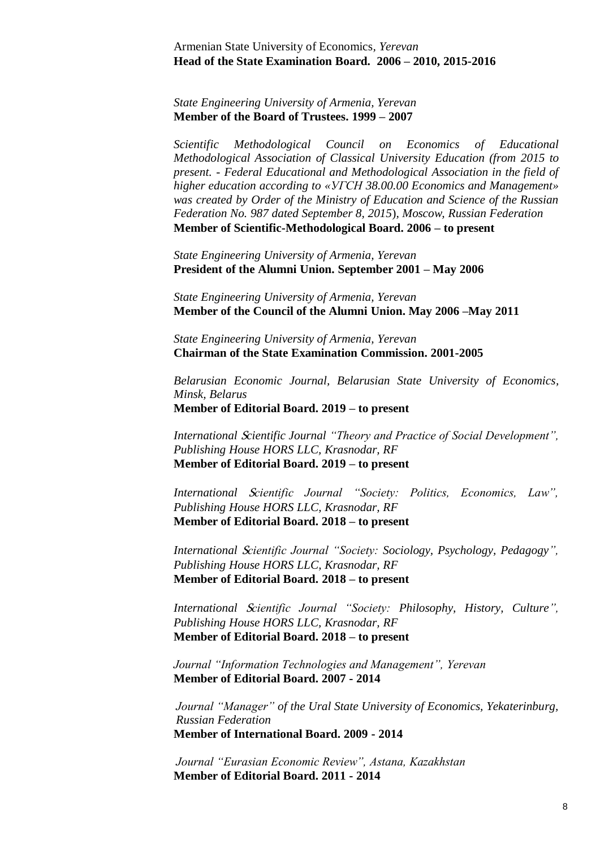Armenian State University of Economics*, Yerevan* **Head of the State Examination Board. 2006 – 2010, 2015-2016**

*State Engineering University of Armenia, Yerevan* **Member of the Board of Trustees. 1999 – 2007**

*Scientific Methodological Council on Economics of Educational Methodological Association of Classical University Education (from 2015 to present. - Federal Educational and Methodological Association in the field of higher education according to «УГСН 38.00.00 Economics and Management» was created by Order of the Ministry of Education and Science of the Russian Federation No. 987 dated September 8, 2015*)*, Moscow, Russian Federation* **Member of Scientific-Methodological Board. 2006 – to present**

*State Engineering University of Armenia, Yerevan* **President of the Alumni Union. September 2001 – May 2006** 

*State Engineering University of Armenia, Yerevan* **Member of the Council of the Alumni Union. May 2006 –May 2011**

*State Engineering University of Armenia, Yerevan* **Chairman of the State Examination Commission. 2001-2005**

*Belarusian Economic Journal, Belarusian State University of Economics, Minsk, Belarus* **Member of Editorial Board. 2019 – to present**

*International* S*cientific Journal "Theory and Practice of Social Development", Publishing House HORS LLC, Krasnodar, RF* **Member of Editorial Board. 2019 – to present**

*International* S*cientific Journal "Society: Politics, Economics, Law", Publishing House HORS LLC, Krasnodar, RF* **Member of Editorial Board. 2018 – to present**

*International* S*cientific Journal "Society: Sociology, Psychology, Pedagogy", Publishing House HORS LLC, Krasnodar, RF* **Member of Editorial Board. 2018 – to present**

*International* S*cientific Journal "Society: Philosophy, History, Culture", Publishing House HORS LLC, Krasnodar, RF* **Member of Editorial Board. 2018 – to present**

*Journal "Information Technologies and Management", Yerevan* **Member of Editorial Board. 2007 - 2014**

*Journal "Manager" of the Ural State University of Economics, Yekaterinburg, Russian Federation* **Member of International Board. 2009 - 2014**

*Journal "Eurasian Economic Review", Astana, Kazakhstan* **Member of Editorial Board. 2011 - 2014**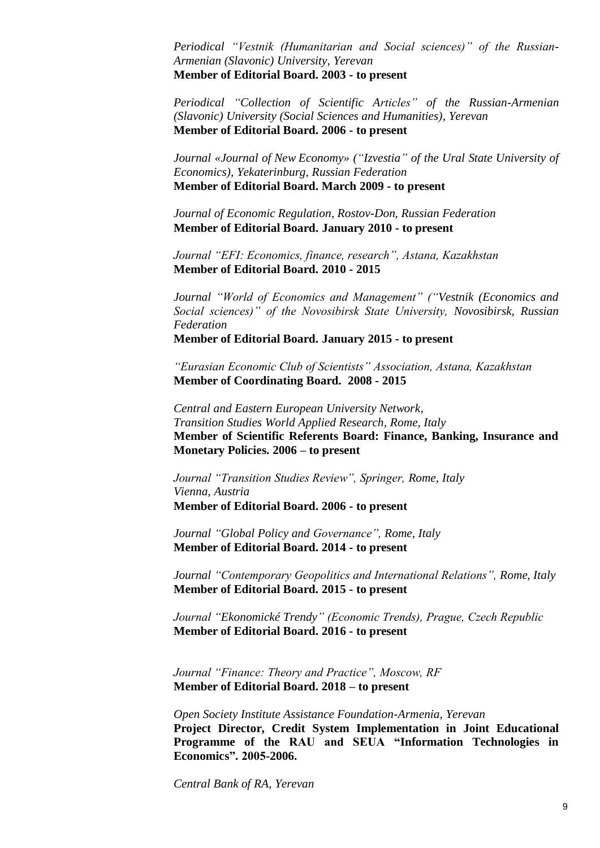*Periodical "Vestnik (Humanitarian and Social sciences)" of the Russian-Armenian (Slavonic) University, Yerevan* **Member of Editorial Board. 2003 - to present**

*Periodical "Collection of Scientific Articles" of the Russian-Armenian (Slavonic) University (Social Sciences and Humanities), Yerevan* **Member of Editorial Board. 2006 - to present**

*Journal «Journal of New Economy» ("Izvestia" of the Ural State University of Economics), Yekaterinburg, Russian Federation* **Member of Editorial Board. March 2009 - to present**

*Journal of Economic Regulation, Rostov-Don, Russian Federation* **Member of Editorial Board. January 2010 - to present**

*Journal "EFI: Economics, finance, research", Astana, Kazakhstan* **Member of Editorial Board. 2010 - 2015**

*Journal "World of Economics and Management" ("Vestnik (Economics and Social sciences)" of the Novosibirsk State University, Novosibirsk, Russian Federation* **Member of Editorial Board. January 2015 - to present**

*"Eurasian Economic Club of Scientists" Association, Astana, Kazakhstan* **Member of Coordinating Board. 2008 - 2015**

*Central and Eastern European University Network, Transition Studies World Applied Research, Rome, Italy* **Member of Scientific Referents Board: Finance, Banking, Insurance and Monetary Policies. 2006 – to present**

*Journal "Transition Studies Review", Springer, Rome, Italy Vienna, Austria* **Member of Editorial Board. 2006 - to present**

*Journal "Global Policy and Governance", Rome, Italy* **Member of Editorial Board. 2014 - to present**

*Journal "Contemporary Geopolitics and International Relations", Rome, Italy* **Member of Editorial Board. 2015 - to present**

*Journal ["Ekonomické Trendy"](https://www.elibrary.ru/title_about_new.asp?id=57971) (Economic Trends), Prague, Czech Republic* **Member of Editorial Board. 2016 - to present**

*Journal "Finance: Theory and Practice", Moscow, RF* **Member of Editorial Board. 2018 – to present**

*Open Society Institute Assistance Foundation-Armenia, Yerevan* **Project Director, Credit System Implementation in Joint Educational Programme of the RAU and SEUA "Information Technologies in Economics". 2005-2006.**

*Central Bank of RA, Yerevan*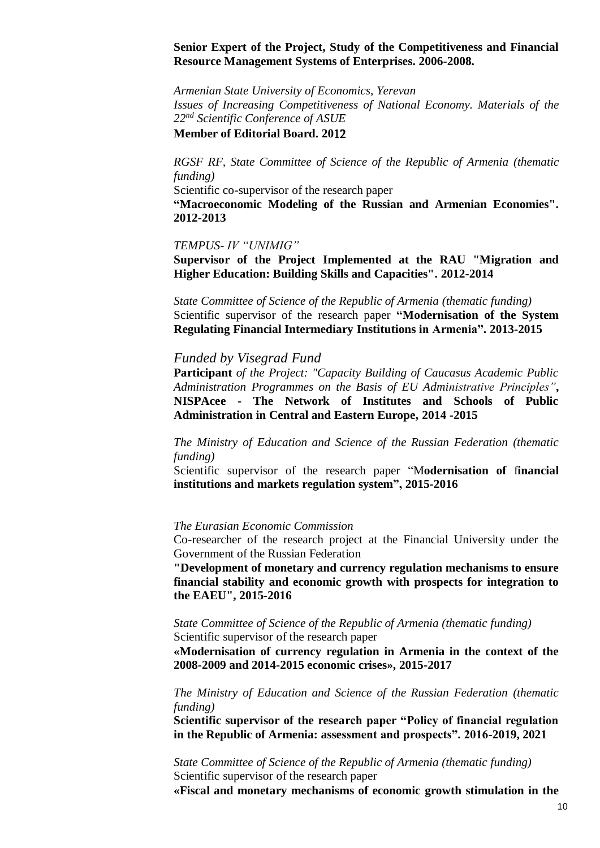#### **Senior Expert of the Project, Study of the Competitiveness and Financial Resource Management Systems of Enterprises. 2006-2008.**

*Armenian State University of Economics, Yerevan Issues of Increasing Competitiveness of National Economy. Materials of the 22nd Scientific Conference of ASUE*

#### **Member of Editorial Board. 20**12

*RGSF RF, State Committee of Science of the Republic of Armenia (thematic funding)* 

Scientific co-supervisor of the research paper

**"Macroeconomic Modeling of the Russian and Armenian Economies". 2012-2013**

#### *TEMPUS- IV "UNIMIG"*

**Supervisor of the Project Implemented at the RAU "Migration and Higher Education: Building Skills and Capacities". 2012-2014**

*State Committee of Science of the Republic of Armenia (thematic funding)* Scientific supervisor of the research paper **"Modernisation of the System Regulating Financial Intermediary Institutions in Armenia". 2013-2015**

#### *Funded by Visegrad Fund*

**Participant** *of the Project: "Capacity Building of Caucasus Academic Public Administration Programmes on the Basis of EU Administrative Principles"***, NISPAcee - The Network of Institutes and Schools of Public Administration in Central and Eastern Europe, 2014 -2015**

*The Ministry of Education and Science of the Russian Federation (thematic funding)*

Scientific supervisor of the research paper "M**odernisation of** f**inancial institutions and markets regulation system", 2015-2016**

#### *The Eurasian Economic Commission*

Co-researcher of the research project at the Financial University under the Government of the Russian Federation

**"Development of monetary and currency regulation mechanisms to ensure financial stability and economic growth with prospects for integration to the EAEU", 2015-2016**

*State Committee of Science of the Republic of Armenia (thematic funding)* Scientific supervisor of the research paper

**«Modernisation of currency regulation in Armenia in the context of the 2008-2009 and 2014-2015 economic crises», 2015-2017**

*The Ministry of Education and Science of the Russian Federation (thematic funding)*

**Scientific supervisor of the research paper "Policy of financial regulation in the Republic of Armenia: assessment and prospects". 2016-2019, 2021**

*State Committee of Science of the Republic of Armenia (thematic funding)* Scientific supervisor of the research paper

**«Fiscal and monetary mechanisms of economic growth stimulation in the**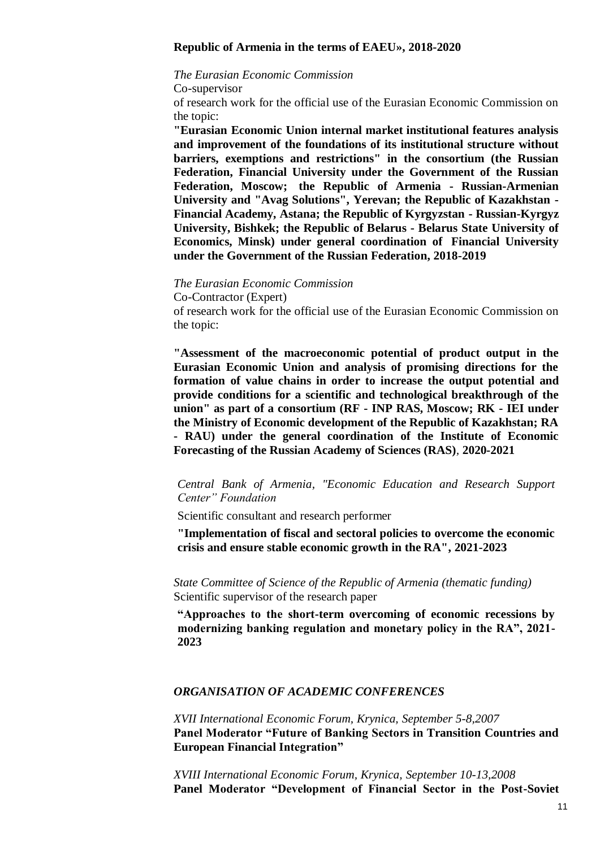#### **Republic of Armenia in the terms of EAEU», 2018-2020**

#### *The Eurasian Economic Commission*

Co-supervisor

of research work for the official use of the Eurasian Economic Commission on the topic:

**"Eurasian Economic Union internal market institutional features analysis and improvement of the foundations of its institutional structure without barriers, exemptions and restrictions" in the consortium (the Russian Federation, Financial University under the Government of the Russian Federation, Moscow; the Republic of Armenia - Russian-Armenian University and "Avag Solutions", Yerevan; the Republic of Kazakhstan - Financial Academy, Astana; the Republic of Kyrgyzstan - Russian-Kyrgyz University, Bishkek; the Republic of Belarus - Belarus State University of Economics, Minsk) under general coordination of Financial University under the Government of the Russian Federation, 2018-2019**

*The Eurasian Economic Commission*

Co-Contractor (Expert)

of research work for the official use of the Eurasian Economic Commission on the topic:

**"Assessment of the macroeconomic potential of product output in the Eurasian Economic Union and analysis of promising directions for the formation of value chains in order to increase the output potential and provide conditions for a scientific and technological breakthrough of the union" as part of a consortium (RF - INP RAS, Moscow; RK - IEI under the Ministry of Economic development of the Republic of Kazakhstan; RA - RAU) under the general coordination of the Institute of Economic Forecasting of the Russian Academy of Sciences (RAS)***,* **2020-2021**

*Central Bank of Armenia, "Economic Education and Research Support Center" Foundation* 

Scientific consultant and research performer

**"Implementation of fiscal and sectoral policies to overcome the economic crisis and ensure stable economic growth in the RA", 2021-2023**

*State Committee of Science of the Republic of Armenia (thematic funding)* Scientific supervisor of the research paper

**"Approaches to the short-term overcoming of economic recessions by modernizing banking regulation and monetary policy in the RA", 2021- 2023**

#### *ORGANISATION OF ACADEMIC CONFERENCES*

*XVII International Economic Forum, Krynica, September 5-8,2007* **Panel Moderator "Future of Banking Sectors in Transition Countries and European Financial Integration"**

*XVIII International Economic Forum, Krynica, September 10-13,2008* **Panel Moderator "Development of Financial Sector in the Post-Soviet**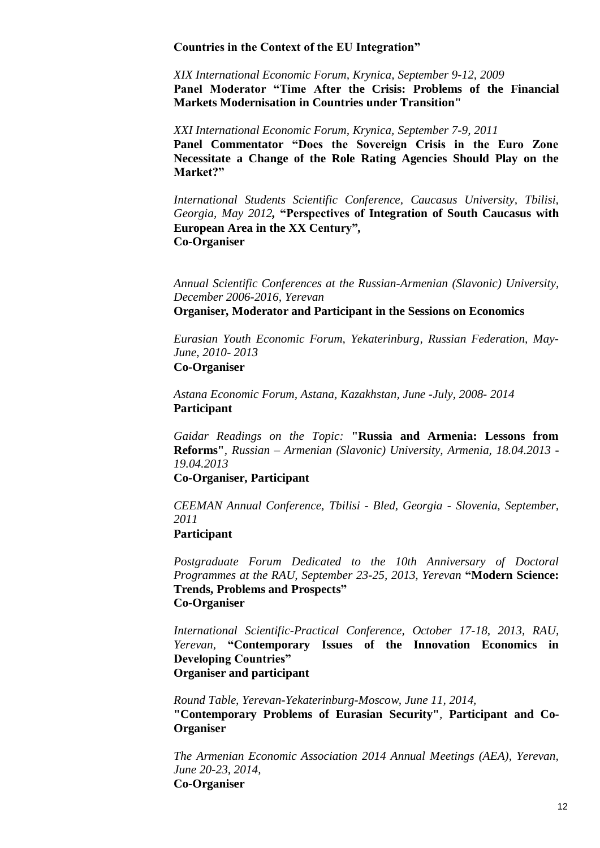#### **Countries in the Context of the EU Integration"**

*XIX International Economic Forum, Krynica, September 9-12, 2009* **Panel Moderator "Time After the Crisis: Problems of the Financial Markets Modernisation in Countries under Transition"**

*XXI International Economic Forum, Krynica, September 7-9, 2011* **Panel Commentator "Does the Sovereign Crisis in the Euro Zone Necessitate a Change of the Role Rating Agencies Should Play on the Market?"**

*International Students Scientific Conference, Caucasus University, Tbilisi, Georgia, May 2012,* **"Perspectives of Integration of South Caucasus with European Area in the XX Century"***,* **Co-Organiser**

*Annual Scientific Conferences at the Russian-Armenian (Slavonic) University, December 2006-2016, Yerevan*

**Organiser, Moderator and Participant in the Sessions on Economics**

*Eurasian Youth Economic Forum, Yekaterinburg, Russian Federation, May-June, 2010- 2013* **Co-Organiser**

*Astana Economic Forum, Astana, Kazakhstan, June -July, 2008- 2014* **Participant**

*Gaidar Readings on the Topic:* **"Russia and Armenia: Lessons from Reforms"***, Russian – Armenian (Slavonic) University, Armenia, 18.04.2013 - 19.04.2013*

#### **Co-Organiser, Participant**

*CEEMAN Annual Conference, Tbilisi - Bled, Georgia - Slovenia, September, 2011*

#### **Participant**

*Postgraduate Forum Dedicated to the 10th Anniversary of Doctoral Programmes at the RAU, September 23-25, 2013, Yerevan* **"Modern Science: Trends, Problems and Prospects" Co-Organiser**

*International Scientific-Practical Conference, October 17-18, 2013, RAU, Yerevan,* **"Contemporary Issues of the Innovation Economics in Developing Countries" Organiser and participant** 

*Round Table, Yerevan-Yekaterinburg-Moscow, June 11, 2014,* **"Contemporary Problems of Eurasian Security"***,* **Participant and Co-Organiser**

*The Armenian Economic Association 2014 Annual Meetings (AEA), Yerevan, June 20-23, 2014,* **Co-Organiser**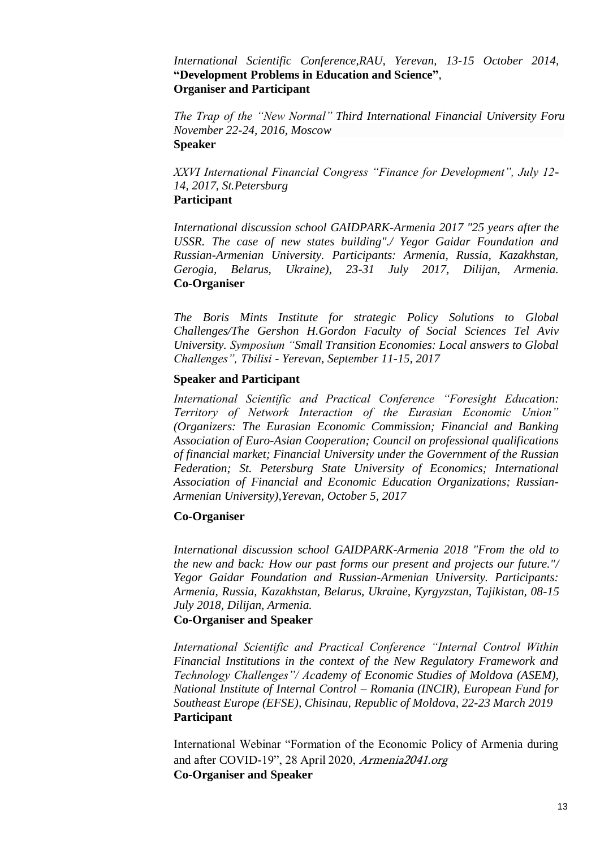#### *International Scientific Conference,RAU, Yerevan, 13-15 October 2014,*  **"Development Problems in Education and Science"***,* **Organiser and Participant**

*The Trap of the "New Normal" Third International Financial University Forum, November 22-24, 2016, Moscow* **Speaker**

*XXVI International Financial Congress "Finance for Development", July 12- 14, 2017, St.Petersburg* **Participant** 

*International discussion school GAIDPARK-Armenia 2017 "25 years after the USSR. The case of new states building"./ Yegor Gaidar Foundation and Russian-Armenian University. Participants: Armenia, Russia, Kazakhstan, Gerogia, Belarus, Ukraine), 23-31 July 2017, Dilijan, Armenia.* **Co-Organiser**

*The Boris Mints Institute for strategic Policy Solutions to Global Challenges/The Gershon H.Gordon Faculty of Social Sciences Tel Aviv University. Symposium "Small Transition Economies: Local answers to Global Challenges", Tbilisi - Yerevan, September 11-15, 2017*

#### **Speaker and Participant**

*International Scientific and Practical Conference "Foresight Education: Territory of Network Interaction of the Eurasian Economic Union" (Organizers: The Eurasian Economic Commission; Financial and Banking Association of Euro-Asian Cooperation; Council on professional qualifications of financial market; Financial University under the Government of the Russian Federation; St. Petersburg State University of Economics; International Association of Financial and Economic Education Organizations; Russian-Armenian University),Yerevan, October 5, 2017*

#### **Co-Organiser**

*International discussion school GAIDPARK-Armenia 2018 "From the old to the new and back: How our past forms our present and projects our future."/ Yegor Gaidar Foundation and Russian-Armenian University. Participants: Armenia, Russia, Kazakhstan, Belarus, Ukraine, Kyrgyzstan, Tajikistan, 08-15 July 2018, Dilijan, Armenia.*

#### **Co-Organiser and Speaker**

*International Scientific and Practical Conference "Internal Control Within Financial Institutions in the context of the New Regulatory Framework and Technology Challenges"/ Academy of Economic Studies of Moldova (ASEM), National Institute of Internal Control – Romania (INCIR), European Fund for Southeast Europe (EFSE), Chisinau, Republic of Moldova, 22-23 March 2019* **Participant**

International Webinar "Formation of the Economic Policy of Armenia during and after COVID-19", 28 April 2020, Armenia2041.org **Co-Organiser and Speaker**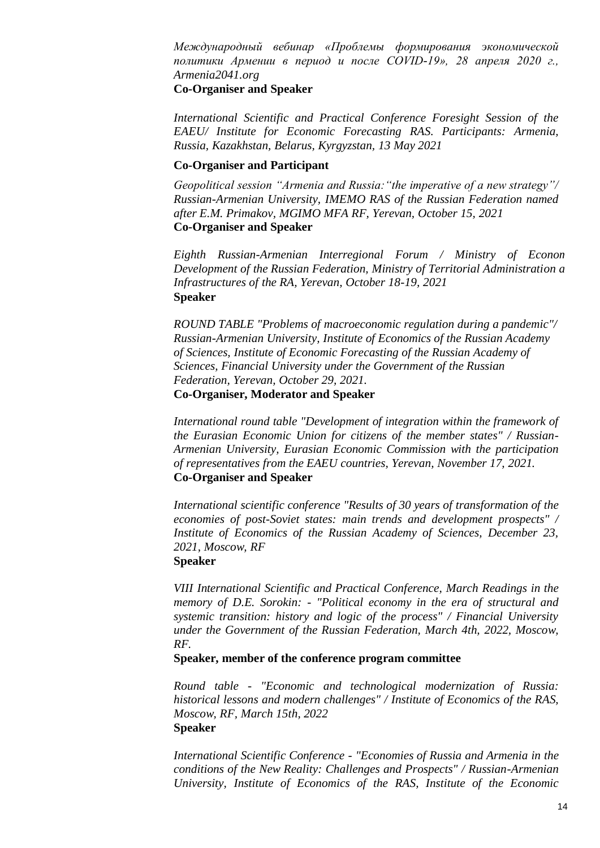*Международный вебинар «Проблемы формирования экономической политики Армении в период и после COVID-19», 28 апреля 2020 г., Armenia2041.org*

#### **Co-Organiser and Speaker**

*International Scientific and Practical Conference Foresight Session of the EAEU/ Institute for Economic Forecasting RAS. Participants: Armenia, Russia, Kazakhstan, Belarus, Kyrgyzstan, 13 May 2021*

#### **Co-Organiser and Participant**

*Geopolitical session "Armenia and Russia:"the imperative of a new strategy"/ Russian-Armenian University, IMEMO RAS of the Russian Federation named after E.M. Primakov, MGIMO MFA RF, Yerevan, October 15, 2021*  **Co-Organiser and Speaker**

*Eighth Russian-Armenian Interregional Forum / Ministry of Econon Development of the Russian Federation, Ministry of Territorial Administration a Infrastructures of the RA, Yerevan, October 18-19, 2021* **Speaker**

*ROUND TABLE "Problems of macroeconomic regulation during a pandemic"/ Russian-Armenian University, Institute of Economics of the Russian Academy of Sciences, Institute of Economic Forecasting of the Russian Academy of Sciences, Financial University under the Government of the Russian Federation, Yerevan, October 29, 2021.* **Co-Organiser, Moderator and Speaker**

*International round table "Development of integration within the framework of the Eurasian Economic Union for citizens of the member states" / Russian-Armenian University, Eurasian Economic Commission with the participation of representatives from the EAEU countries, Yerevan, November 17, 2021.* **Co-Organiser and Speaker**

*International scientific conference "Results of 30 years of transformation of the economies of post-Soviet states: main trends and development prospects" / Institute of Economics of the Russian Academy of Sciences, December 23, 2021, Moscow, RF*

#### **Speaker**

*VIII International Scientific and Practical Conference, March Readings in the memory of D.E. Sorokin: - "Political economy in the era of structural and systemic transition: history and logic of the process" / Financial University under the Government of the Russian Federation, March 4th, 2022, Moscow, RF.*

**Speaker, member of the conference program committee**

*Round table - "Economic and technological modernization of Russia: historical lessons and modern challenges" / Institute of Economics of the RAS, Moscow, RF, March 15th, 2022* **Speaker**

*International Scientific Conference - "Economies of Russia and Armenia in the conditions of the New Reality: Challenges and Prospects" / Russian-Armenian University, Institute of Economics of the RAS, Institute of the Economic*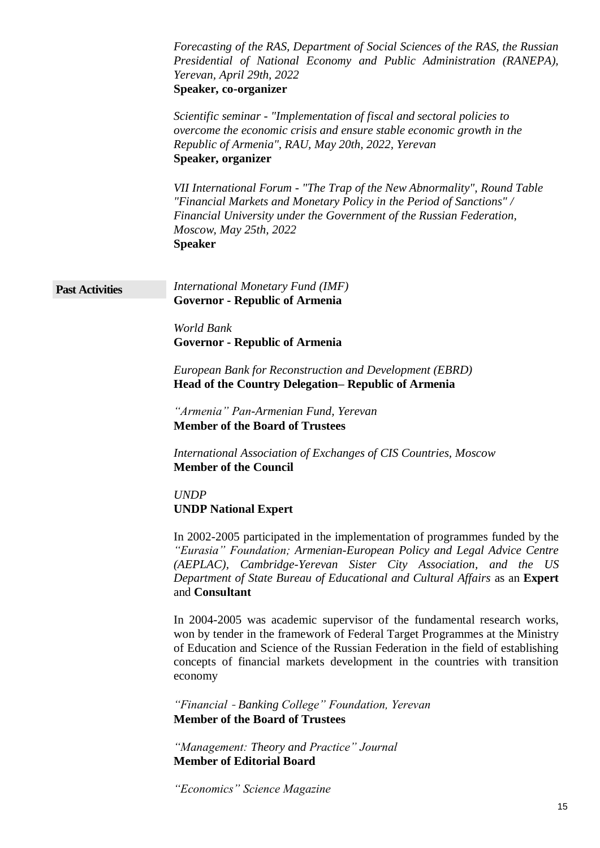|                        | Forecasting of the RAS, Department of Social Sciences of the RAS, the Russian<br>Presidential of National Economy and Public Administration (RANEPA),<br>Yerevan, April 29th, 2022<br>Speaker, co-organizer                                                                                                                        |
|------------------------|------------------------------------------------------------------------------------------------------------------------------------------------------------------------------------------------------------------------------------------------------------------------------------------------------------------------------------|
|                        | Scientific seminar - "Implementation of fiscal and sectoral policies to<br>overcome the economic crisis and ensure stable economic growth in the<br>Republic of Armenia", RAU, May 20th, 2022, Yerevan<br>Speaker, organizer                                                                                                       |
|                        | VII International Forum - "The Trap of the New Abnormality", Round Table<br>"Financial Markets and Monetary Policy in the Period of Sanctions" /<br>Financial University under the Government of the Russian Federation,<br>Moscow, May 25th, 2022<br><b>Speaker</b>                                                               |
| <b>Past Activities</b> | International Monetary Fund (IMF)<br><b>Governor - Republic of Armenia</b>                                                                                                                                                                                                                                                         |
|                        | World Bank<br><b>Governor - Republic of Armenia</b>                                                                                                                                                                                                                                                                                |
|                        | European Bank for Reconstruction and Development (EBRD)<br>Head of the Country Delegation–Republic of Armenia                                                                                                                                                                                                                      |
|                        | "Armenia" Pan-Armenian Fund, Yerevan<br><b>Member of the Board of Trustees</b>                                                                                                                                                                                                                                                     |
|                        | International Association of Exchanges of CIS Countries, Moscow<br><b>Member of the Council</b>                                                                                                                                                                                                                                    |
|                        | <b>UNDP</b><br><b>UNDP National Expert</b>                                                                                                                                                                                                                                                                                         |
|                        | In 2002-2005 participated in the implementation of programmes funded by the<br>"Eurasia" Foundation; Armenian-European Policy and Legal Advice Centre<br>(AEPLAC), Cambridge-Yerevan Sister City Association, and the US<br>Department of State Bureau of Educational and Cultural Affairs as an Expert<br>and Consultant          |
|                        | In 2004-2005 was academic supervisor of the fundamental research works,<br>won by tender in the framework of Federal Target Programmes at the Ministry<br>of Education and Science of the Russian Federation in the field of establishing<br>concepts of financial markets development in the countries with transition<br>economy |
|                        | "Financial - Banking College" Foundation, Yerevan<br><b>Member of the Board of Trustees</b>                                                                                                                                                                                                                                        |
|                        | "Management: Theory and Practice" Journal<br><b>Member of Editorial Board</b>                                                                                                                                                                                                                                                      |
|                        | "Economics" Science Magazine<br>15                                                                                                                                                                                                                                                                                                 |
|                        |                                                                                                                                                                                                                                                                                                                                    |